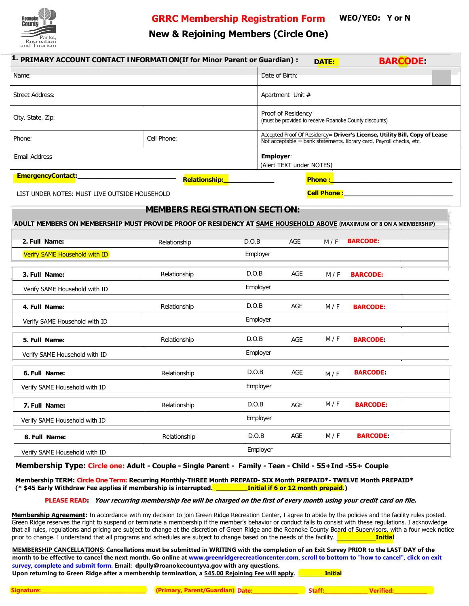

**GRRC Membership Registration Form**

**WEO/YEO: Y or N**

## **New & Rejoining Members (Circle One)**

|                                               |          |                                                                                                                                                    | DATE:                                                                                                                                                                                      | <b>BARCODE</b>                            |                                                                                                                                                                                                    |
|-----------------------------------------------|----------|----------------------------------------------------------------------------------------------------------------------------------------------------|--------------------------------------------------------------------------------------------------------------------------------------------------------------------------------------------|-------------------------------------------|----------------------------------------------------------------------------------------------------------------------------------------------------------------------------------------------------|
|                                               |          |                                                                                                                                                    |                                                                                                                                                                                            |                                           |                                                                                                                                                                                                    |
|                                               |          |                                                                                                                                                    |                                                                                                                                                                                            |                                           |                                                                                                                                                                                                    |
|                                               |          |                                                                                                                                                    |                                                                                                                                                                                            |                                           |                                                                                                                                                                                                    |
| Cell Phone:                                   |          | Accepted Proof Of Residency= Driver's License, Utility Bill, Copy of Lease<br>Not acceptable = bank statements, library card, Payroll checks, etc. |                                                                                                                                                                                            |                                           |                                                                                                                                                                                                    |
|                                               |          |                                                                                                                                                    |                                                                                                                                                                                            |                                           |                                                                                                                                                                                                    |
| Relationship:                                 |          |                                                                                                                                                    |                                                                                                                                                                                            |                                           |                                                                                                                                                                                                    |
| LIST UNDER NOTES: MUST LIVE OUTSIDE HOUSEHOLD |          |                                                                                                                                                    |                                                                                                                                                                                            |                                           |                                                                                                                                                                                                    |
|                                               |          |                                                                                                                                                    |                                                                                                                                                                                            |                                           |                                                                                                                                                                                                    |
|                                               |          |                                                                                                                                                    |                                                                                                                                                                                            |                                           |                                                                                                                                                                                                    |
| Relationship                                  | D.O.B    | AGE                                                                                                                                                | M/F                                                                                                                                                                                        | <b>BARCODE:</b>                           |                                                                                                                                                                                                    |
|                                               | Employer |                                                                                                                                                    |                                                                                                                                                                                            |                                           |                                                                                                                                                                                                    |
| Relationship                                  | D.O.B    | AGE                                                                                                                                                | M/F                                                                                                                                                                                        | <b>BARCODE:</b>                           |                                                                                                                                                                                                    |
|                                               | Employer |                                                                                                                                                    |                                                                                                                                                                                            |                                           |                                                                                                                                                                                                    |
| Relationship                                  | D.O.B    | AGE                                                                                                                                                | M/F                                                                                                                                                                                        | <b>BARCODE:</b>                           |                                                                                                                                                                                                    |
|                                               | Employer |                                                                                                                                                    |                                                                                                                                                                                            |                                           |                                                                                                                                                                                                    |
| Relationship                                  | D.O.B    | <b>AGE</b>                                                                                                                                         | M / F                                                                                                                                                                                      | <b>BARCODE:</b>                           |                                                                                                                                                                                                    |
|                                               | Employer |                                                                                                                                                    |                                                                                                                                                                                            |                                           |                                                                                                                                                                                                    |
| Relationship                                  | D.O.B    | AGE                                                                                                                                                | M / F                                                                                                                                                                                      | <b>BARCODE:</b>                           |                                                                                                                                                                                                    |
|                                               | Employer |                                                                                                                                                    |                                                                                                                                                                                            |                                           |                                                                                                                                                                                                    |
| Relationship                                  | D.O.B    | AGE                                                                                                                                                | M/F                                                                                                                                                                                        | <b>BARCODE:</b>                           |                                                                                                                                                                                                    |
|                                               | Employer |                                                                                                                                                    |                                                                                                                                                                                            |                                           |                                                                                                                                                                                                    |
| Relationship                                  | D.O.B    | AGE                                                                                                                                                | M/F                                                                                                                                                                                        | <b>BARCODE:</b>                           |                                                                                                                                                                                                    |
|                                               | Employer |                                                                                                                                                    |                                                                                                                                                                                            |                                           |                                                                                                                                                                                                    |
|                                               |          |                                                                                                                                                    | 1. PRIMARY ACCOUNT CONTACT INFORMATION(If for Minor Parent or Guardian) :<br>Date of Birth:<br>Apartment Unit #<br>Proof of Residency<br>Employer:<br><b>MEMBERS REGISTRATION SECTION:</b> | (Alert TEXT under NOTES)<br><b>Phone:</b> | (must be provided to receive Roanoke County discounts)<br><b>Cell Phone:</b><br>ADULT MEMBERS ON MEMBERSHIP MUST PROVIDE PROOF OF RESIDENCY AT SAME HOUSEHOLD ABOVE (MAXIMUM OF 8 ON A MEMBERSHIP) |

**Membership Type: Circle one: Adult - Couple - Single Parent - Family - Teen - Child - 55+Ind -55+ Couple**

**Membership TERM: Circle One Term: Recurring Monthly-THREE Month PREPAID- SIX Month PREPAID\*- TWELVE Month PREPAID\* (\* \$45 Early Withdraw Fee applies if membership is interrupted. \_\_\_\_\_\_\_\_Initial if 6 or 12 month prepaid.)**

 **Your recurring membership fee will be charged on the first of every month using your credit card on file. PLEASE READ:**

**Membership Agreement:** In accordance with my decision to join Green Ridge Recreation Center, I agree to abide by the policies and the facility rules posted. Green Ridge reserves the right to suspend or terminate a membership if the member's behavior or conduct fails to consist with these regulations. I acknowledge that all rules, regulations and pricing are subject to change at the discretion of Green Ridge and the Roanoke County Board of Supervisors, with a four week notice prior to change. I understand that all programs and schedules are subject to change based on the needs of the facility. **Thitial** 

**MEMBERSHIP CANCELLATIONS: Cancellations must be submitted in WRITING with the completion of an Exit Survey PRIOR to the LAST DAY of the month to be effective to cancel the next month. Go online at www.greenridgerecreationcenter.com, scroll to bottom to "how to cancel", click on exit survey, complete and submit form. Email: dpully@roanokecountyva.gov with any questions. Upon returning to Green Ridge after a membership termination, a \$45.00 Rejoining Fee will apply. \_\_\_\_\_\_\_\_\_\_\_Initial**

**Signature:\_\_\_\_\_\_\_\_\_\_\_\_\_\_\_\_\_\_\_\_\_\_\_\_\_\_\_\_\_\_\_\_\_\_\_\_\_\_\_\_\_ (Primary, Parent/Guardian) Date:\_\_\_\_\_\_\_\_\_\_\_\_\_\_\_\_\_\_ Staff:\_\_\_\_\_\_\_\_\_\_\_\_\_\_\_\_\_ Verified:\_\_\_\_\_\_\_\_\_\_\_\_\_**